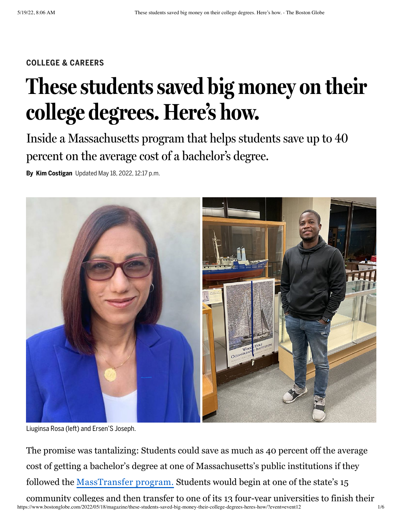#### **COLLEGE & CAREERS**

# **These students saved big money on their college degrees. Here's how.**

Inside a Massachusetts program that helps students save up to 40 percent on the average cost of a bachelor's degree.

**By Kim Costigan** Updated May 18, 2022, 12:17 p.m.



Liuginsa Rosa (left) and Ersen'S Joseph.

The promise was tantalizing: Students could save as much as 40 percent off the average cost of getting a bachelor's degree at one of Massachusetts's public institutions if they followed the [MassTransfer program.](https://www.mass.edu/masstransfer/) Students would begin at one of the state's 15 community colleges and then transfer to one of its 13 four-year universities to finish their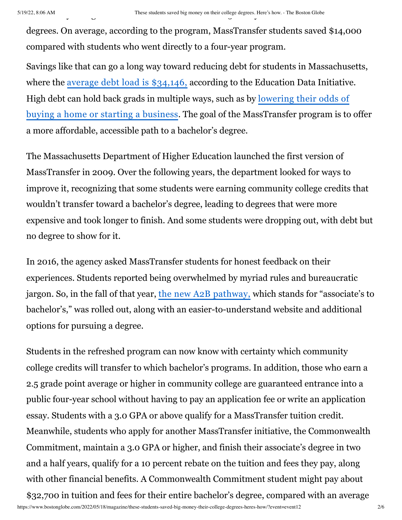degrees. On average, according to the program, MassTransfer students saved \$14,000 compared with students who went directly to a four-year program.

Savings like that can go a long way toward reducing debt for students in Massachusetts, where the [average debt load is \\$34,146,](https://research.collegeboard.org/media/pdf/trends-college-pricing-student-aid-2021.pdf) according to the Education Data Initiative. High debt can hold back grads in multiple ways, such as by lowering their odds of [buying a home or starting a business. The goal of the MassTransfer program is to](https://educationdata.org/student-loan-debt-economic-impact) offer a more affordable, accessible path to a bachelor's degree.

The Massachusetts Department of Higher Education launched the first version of MassTransfer in 2009. Over the following years, the department looked for ways to improve it, recognizing that some students were earning community college credits that wouldn't transfer toward a bachelor's degree, leading to degrees that were more expensive and took longer to finish. And some students were dropping out, with debt but no degree to show for it.

In 2016, the agency asked MassTransfer students for honest feedback on their experiences. Students reported being overwhelmed by myriad rules and bureaucratic jargon. So, in the fall of that year, [the new A2B pathway,](https://www.mass.edu/masstransfer/a2b/home.asp) which stands for "associate's to bachelor's," was rolled out, along with an easier-to-understand website and additional options for pursuing a degree.

Students in the refreshed program can now know with certainty which community college credits will transfer to which bachelor's programs. In addition, those who earn a 2.5 grade point average or higher in community college are guaranteed entrance into a public four-year school without having to pay an application fee or write an application essay. Students with a 3.0 GPA or above qualify for a MassTransfer tuition credit. Meanwhile, students who apply for another MassTransfer initiative, the Commonwealth Commitment, maintain a 3.0 GPA or higher, and finish their associate's degree in two and a half years, qualify for a 10 percent rebate on the tuition and fees they pay, along with other financial benefits. A Commonwealth Commitment student might pay about \$32,700 in tuition and fees for their entire bachelor's degree, compared with an average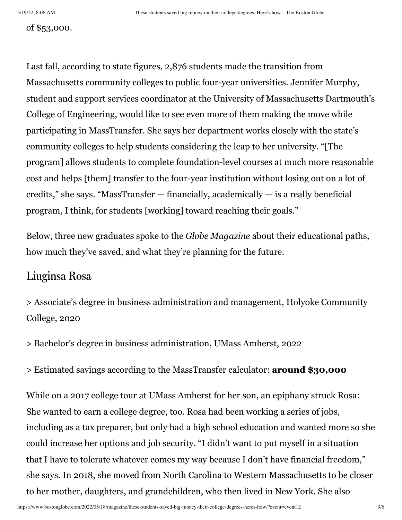#### of \$53,000.

Last fall, according to state figures, 2,876 students made the transition from Massachusetts community colleges to public four-year universities. Jennifer Murphy, student and support services coordinator at the University of Massachusetts Dartmouth's College of Engineering, would like to see even more of them making the move while participating in MassTransfer. She says her department works closely with the state's community colleges to help students considering the leap to her university. "[The program] allows students to complete foundation-level courses at much more reasonable cost and helps [them] transfer to the four-year institution without losing out on a lot of credits," she says. "MassTransfer — financially, academically — is a really beneficial program, I think, for students [working] toward reaching their goals."

Below, three new graduates spoke to the *Globe Magazine* about their educational paths, how much they've saved, and what they're planning for the future.

## Liuginsa Rosa

> Associate's degree in business administration and management, Holyoke Community College, 2020

> Bachelor's degree in business administration, UMass Amherst, 2022

> Estimated savings according to the MassTransfer calculator: **around \$30,000**

While on a 2017 college tour at UMass Amherst for her son, an epiphany struck Rosa: She wanted to earn a college degree, too. Rosa had been working a series of jobs, including as a tax preparer, but only had a high school education and wanted more so she could increase her options and job security. "I didn't want to put myself in a situation that I have to tolerate whatever comes my way because I don't have financial freedom," she says. In 2018, she moved from North Carolina to Western Massachusetts to be closer to her mother, daughters, and grandchildren, who then lived in New York. She also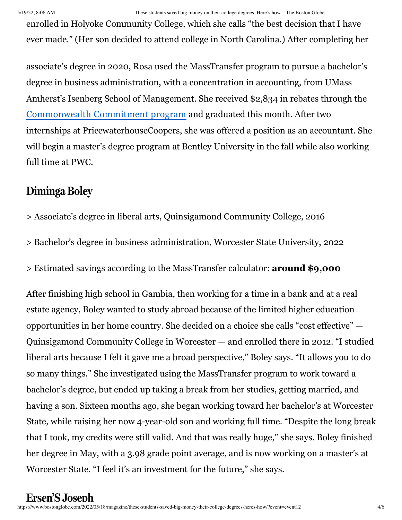#### 5/19/22, 8:06 AM These students saved big money on their college degrees. Here's how. - The Boston Globe

enrolled in Holyoke Community College, which she calls "the best decision that I have ever made." (Her son decided to attend college in North Carolina.) After completing her

associate's degree in 2020, Rosa used the MassTransfer program to pursue a bachelor's degree in business administration, with a concentration in accounting, from UMass Amherst's Isenberg School of Management. She received \$2,834 in rebates through the [Commonwealth Commitment program](https://www.mass.edu/masstransfer/macomcom/home.asp) and graduated this month. After two internships at PricewaterhouseCoopers, she was offered a position as an accountant. She will begin a master's degree program at Bentley University in the fall while also working full time at PWC.

# **Diminga Boley**

- > Associate's degree in liberal arts, Quinsigamond Community College, 2016
- > Bachelor's degree in business administration, Worcester State University, 2022
- > Estimated savings according to the MassTransfer calculator: **around \$9,000**

After finishing high school in Gambia, then working for a time in a bank and at a real estate agency, Boley wanted to study abroad because of the limited higher education opportunities in her home country. She decided on a choice she calls "cost effective" — Quinsigamond Community College in Worcester — and enrolled there in 2012. "I studied liberal arts because I felt it gave me a broad perspective," Boley says. "It allows you to do so many things." She investigated using the MassTransfer program to work toward a bachelor's degree, but ended up taking a break from her studies, getting married, and having a son. Sixteen months ago, she began working toward her bachelor's at Worcester State, while raising her now 4-year-old son and working full time. "Despite the long break that I took, my credits were still valid. And that was really huge," she says. Boley finished her degree in May, with a 3.98 grade point average, and is now working on a master's at Worcester State. "I feel it's an investment for the future," she says.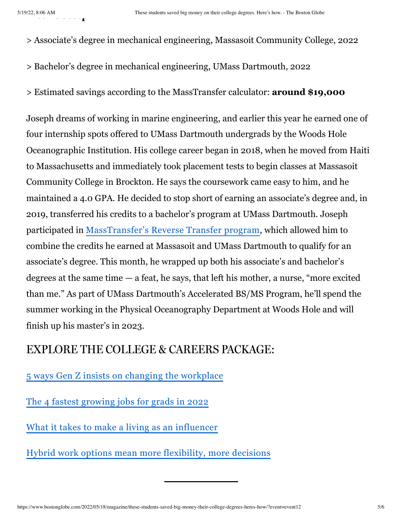> Associate's degree in mechanical engineering, Massasoit Community College, 2022

- > Bachelor's degree in mechanical engineering, UMass Dartmouth, 2022
- > Estimated savings according to the MassTransfer calculator: **around \$19,000**

Joseph dreams of working in marine engineering, and earlier this year he earned one of four internship spots offered to UMass Dartmouth undergrads by the Woods Hole Oceanographic Institution. His college career began in 2018, when he moved from Haiti to Massachusetts and immediately took placement tests to begin classes at Massasoit Community College in Brockton. He says the coursework came easy to him, and he maintained a 4.0 GPA. He decided to stop short of earning an associate's degree and, in 2019, transferred his credits to a bachelor's program at UMass Dartmouth. Joseph participated in [MassTransfer's Reverse Transfer program,](https://www.mass.edu/masstransfer/tools/reverse.asp) which allowed him to combine the credits he earned at Massasoit and UMass Dartmouth to qualify for an associate's degree. This month, he wrapped up both his associate's and bachelor's degrees at the same time  $-$  a feat, he says, that left his mother, a nurse, "more excited than me." As part of UMass Dartmouth's Accelerated BS/MS Program, he'll spend the summer working in the Physical Oceanography Department at Woods Hole and will finish up his master's in 2023.

## EXPLORE THE COLLEGE & CAREERS PACKAGE:

[5 ways Gen Z insists on changing the workplace](https://www.bostonglobe.com/2022/05/18/magazine/5-ways-gen-z-is-insisting-changes-workplace/?p1=Article_Inline_Text_Link)

[The 4 fastest growing jobs for grads in 2022](https://www.bostonglobe.com/2022/05/18/magazine/4-fastest-growing-jobs-college-graduates-2022/?p1=Article_Inline_Text_Link)

[What it takes to make a living as an influencer](https://www.bostonglobe.com/2022/05/18/magazine/lots-young-people-dream-being-an-influencer-hes-really-doing-it/?p1=Article_Inline_Text_Link)

[Hybrid work options mean more flexibility, more decisions](https://www.bostonglobe.com/2022/05/18/magazine/with-hybrid-work-rise-new-grads-find-flexibility-tough-choices/?p1=Article_Inline_Text_Link)